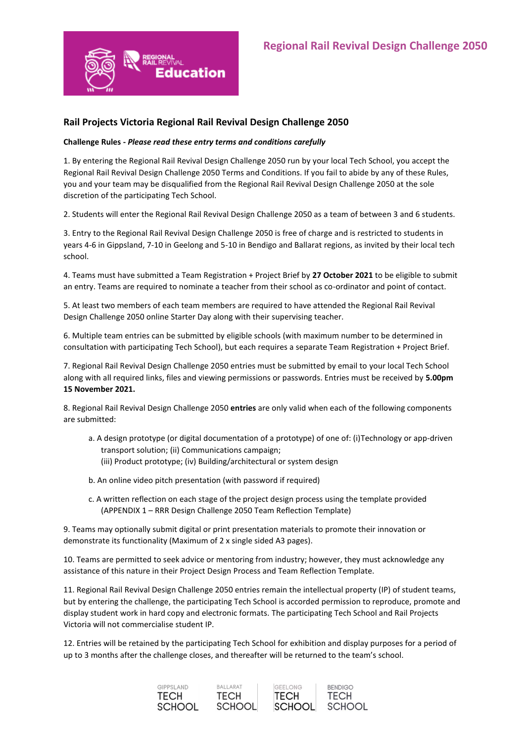

## **Rail Projects Victoria Regional Rail Revival Design Challenge 2050**

## **Challenge Rules -** *Please read these entry terms and conditions carefully*

1. By entering the Regional Rail Revival Design Challenge 2050 run by your local Tech School, you accept the Regional Rail Revival Design Challenge 2050 Terms and Conditions. If you fail to abide by any of these Rules, you and your team may be disqualified from the Regional Rail Revival Design Challenge 2050 at the sole discretion of the participating Tech School.

2. Students will enter the Regional Rail Revival Design Challenge 2050 as a team of between 3 and 6 students.

3. Entry to the Regional Rail Revival Design Challenge 2050 is free of charge and is restricted to students in years 4-6 in Gippsland, 7-10 in Geelong and 5-10 in Bendigo and Ballarat regions, as invited by their local tech school.

4. Teams must have submitted a Team Registration + Project Brief by **27 October 2021** to be eligible to submit an entry. Teams are required to nominate a teacher from their school as co-ordinator and point of contact.

5. At least two members of each team members are required to have attended the Regional Rail Revival Design Challenge 2050 online Starter Day along with their supervising teacher.

6. Multiple team entries can be submitted by eligible schools (with maximum number to be determined in consultation with participating Tech School), but each requires a separate Team Registration + Project Brief.

7. Regional Rail Revival Design Challenge 2050 entries must be submitted by email to your local Tech School along with all required links, files and viewing permissions or passwords. Entries must be received by **5.00pm 15 November 2021.**

8. Regional Rail Revival Design Challenge 2050 **entries** are only valid when each of the following components are submitted:

- a. A design prototype (or digital documentation of a prototype) of one of: (i)Technology or app-driven transport solution; (ii) Communications campaign;
	- (iii) Product prototype; (iv) Building/architectural or system design
- b. An online video pitch presentation (with password if required)
- c. A written reflection on each stage of the project design process using the template provided (APPENDIX 1 – RRR Design Challenge 2050 Team Reflection Template)

9. Teams may optionally submit digital or print presentation materials to promote their innovation or demonstrate its functionality (Maximum of 2 x single sided A3 pages).

10. Teams are permitted to seek advice or mentoring from industry; however, they must acknowledge any assistance of this nature in their Project Design Process and Team Reflection Template.

11. Regional Rail Revival Design Challenge 2050 entries remain the intellectual property (IP) of student teams, but by entering the challenge, the participating Tech School is accorded permission to reproduce, promote and display student work in hard copy and electronic formats. The participating Tech School and Rail Projects Victoria will not commercialise student IP.

12. Entries will be retained by the participating Tech School for exhibition and display purposes for a period of up to 3 months after the challenge closes, and thereafter will be returned to the team's school.